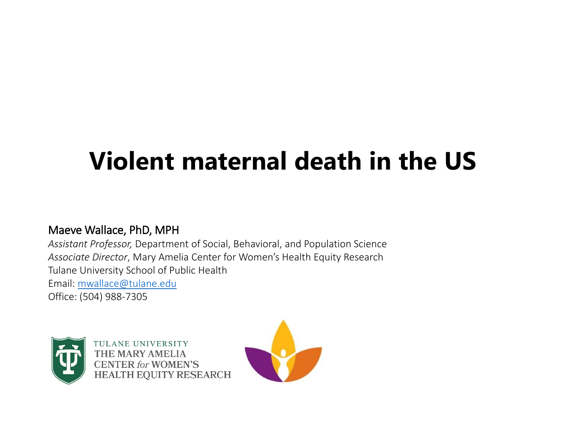#### **Violent maternal death in the US**

#### Maeve Wallace, PhD, MPH

 *Assistant Professor,* Department of Social, Behavioral, and Population Science *Associate Director*, Mary Amelia Center for Women's Health Equity Research Tulane University School of Public Health Email: [mwallace@tulane.edu](mailto:mwallace@tulane.edu)  Office: (504) 988-7305



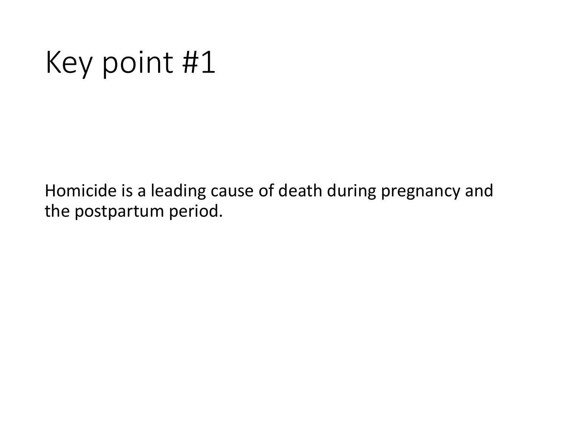## Key point #1

Homicide is a leading cause of death during pregnancy and the postpartum period.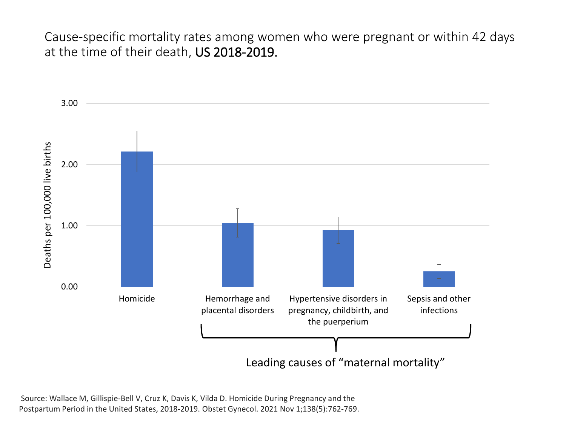Cause-specific mortality rates among women who were pregnant or within 42 days at the time of their death, US 2018-2019.



Source: Wallace M, Gillispie-Bell V, Cruz K, Davis K, Vilda D. Homicide During Pregnancy and the Postpartum Period in the United States, 2018-2019. Obstet Gynecol. 2021 Nov 1;138(5):762-769.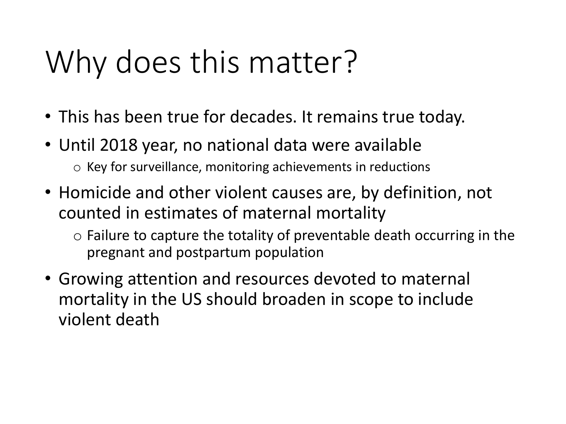## Why does this matter?

- This has been true for decades. It remains true today.
- • Until 2018 year, no national data were available o Key for surveillance, monitoring achievements in reductions
- counted in estimates of maternal mortality • Homicide and other violent causes are, by definition, not
	- $\circ$  Failure to capture the totality of preventable death occurring in the pregnant and postpartum population
- mortality in the US should broaden in scope to include • Growing attention and resources devoted to maternal violent death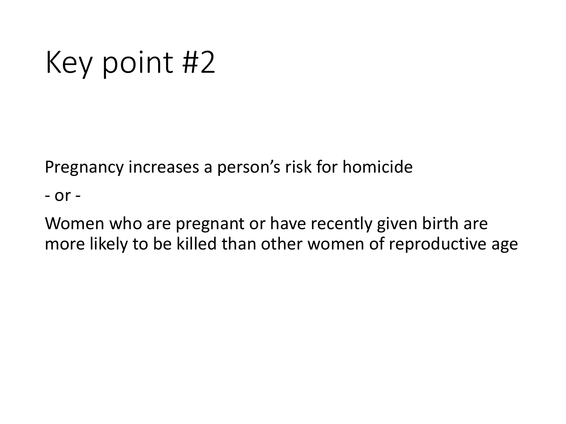## Key point #2

Pregnancy increases a person's risk for homicide

- or -

Women who are pregnant or have recently given birth are more likely to be killed than other women of reproductive age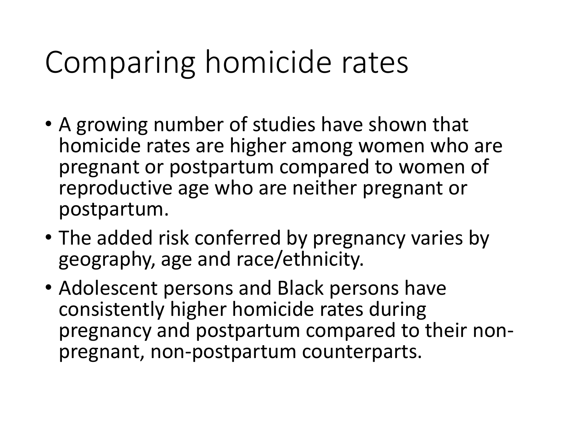## Comparing homicide rates

- • A growing number of studies have shown that pregnant or postpartum compared to women of homicide rates are higher among women who are reproductive age who are neither pregnant or postpartum.
- geography, age and race/ethnicity. • The added risk conferred by pregnancy varies by
- pregnancy and postpartum compared to their non-<br>pregnant, non-postpartum counterparts. • Adolescent persons and Black persons have consistently higher homicide rates during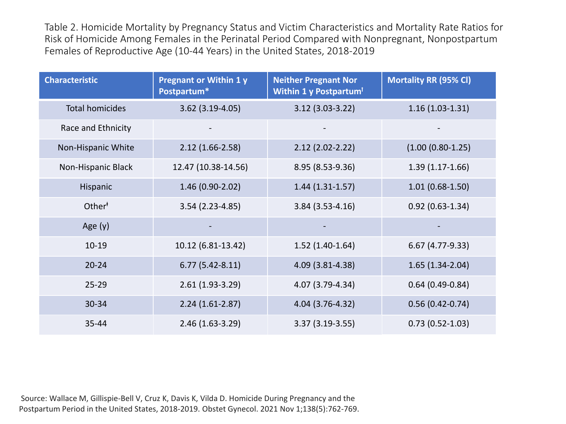Table 2. Homicide Mortality by Pregnancy Status and Victim Characteristics and Mortality Rate Ratios for Risk of Homicide Among Females in the Perinatal Period Compared with Nonpregnant, Nonpostpartum Females of Reproductive Age (10-44 Years) in the United States, 2018-2019

| <b>Characteristic</b>  | <b>Pregnant or Within 1 y</b><br>Postpartum* | <b>Neither Pregnant Nor</b><br>Within 1 y Postpartum <sup>1</sup> | <b>Mortality RR (95% CI)</b> |
|------------------------|----------------------------------------------|-------------------------------------------------------------------|------------------------------|
| <b>Total homicides</b> | $3.62$ (3.19-4.05)                           | $3.12$ (3.03-3.22)                                                | $1.16(1.03-1.31)$            |
| Race and Ethnicity     |                                              |                                                                   |                              |
| Non-Hispanic White     | $2.12(1.66 - 2.58)$                          | $2.12(2.02 - 2.22)$                                               | $(1.00 (0.80 - 1.25))$       |
| Non-Hispanic Black     | 12.47 (10.38-14.56)                          | 8.95 (8.53-9.36)                                                  | $1.39(1.17-1.66)$            |
| Hispanic               | $1.46(0.90-2.02)$                            | $1.44(1.31-1.57)$                                                 | $1.01(0.68-1.50)$            |
| Other <sup>#</sup>     | $3.54(2.23-4.85)$                            | $3.84(3.53 - 4.16)$                                               | $0.92(0.63 - 1.34)$          |
| Age $(y)$              |                                              |                                                                   |                              |
| $10-19$                | 10.12 (6.81-13.42)                           | $1.52(1.40-1.64)$                                                 | $6.67(4.77-9.33)$            |
| $20 - 24$              | $6.77(5.42 - 8.11)$                          | 4.09 (3.81-4.38)                                                  | $1.65(1.34-2.04)$            |
| $25 - 29$              | $2.61(1.93-3.29)$                            | 4.07 (3.79-4.34)                                                  | $0.64(0.49-0.84)$            |
| 30-34                  | $2.24(1.61-2.87)$                            | 4.04 (3.76-4.32)                                                  | $0.56(0.42 - 0.74)$          |
| $35 - 44$              | 2.46 (1.63-3.29)                             | $3.37(3.19-3.55)$                                                 | $0.73(0.52 - 1.03)$          |

 Source: Wallace M, Gillispie-Bell V, Cruz K, Davis K, Vilda D. Homicide During Pregnancy and the Postpartum Period in the United States, 2018-2019. Obstet Gynecol. 2021 Nov 1;138(5):762-769.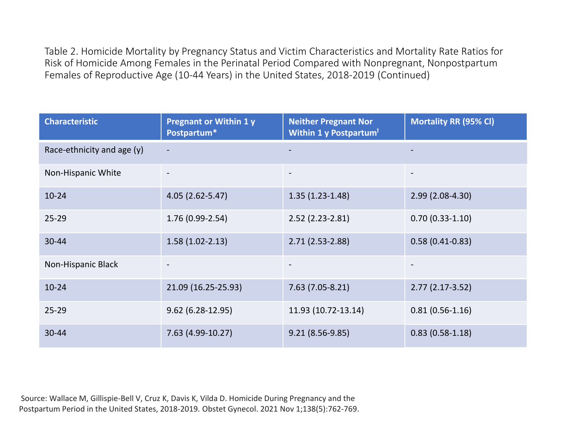Table 2. Homicide Mortality by Pregnancy Status and Victim Characteristics and Mortality Rate Ratios for Risk of Homicide Among Females in the Perinatal Period Compared with Nonpregnant, Nonpostpartum Females of Reproductive Age (10-44 Years) in the United States, 2018-2019 (Continued)

| <b>Characteristic</b>      | <b>Pregnant or Within 1 y</b><br>Postpartum* | <b>Neither Pregnant Nor</b><br>Within 1 y Postpartum <sup>1</sup> | <b>Mortality RR (95% CI)</b> |
|----------------------------|----------------------------------------------|-------------------------------------------------------------------|------------------------------|
| Race-ethnicity and age (y) |                                              |                                                                   |                              |
| Non-Hispanic White         |                                              | $\overline{\phantom{a}}$                                          | $\overline{\phantom{a}}$     |
| $10 - 24$                  | 4.05 (2.62-5.47)                             | $1.35(1.23-1.48)$                                                 | $2.99(2.08-4.30)$            |
| $25 - 29$                  | $1.76(0.99-2.54)$                            | $2.52$ (2.23-2.81)                                                | $0.70(0.33-1.10)$            |
| 30-44                      | $1.58(1.02-2.13)$                            | $2.71(2.53-2.88)$                                                 | $0.58(0.41-0.83)$            |
| Non-Hispanic Black         |                                              |                                                                   |                              |
| $10 - 24$                  | 21.09 (16.25-25.93)                          | $7.63(7.05-8.21)$                                                 | $2.77(2.17-3.52)$            |
| $25 - 29$                  | $9.62(6.28-12.95)$                           | 11.93 (10.72-13.14)                                               | $0.81(0.56-1.16)$            |
| 30-44                      | 7.63 (4.99-10.27)                            | $9.21(8.56-9.85)$                                                 | $0.83(0.58-1.18)$            |

 Source: Wallace M, Gillispie-Bell V, Cruz K, Davis K, Vilda D. Homicide During Pregnancy and the Postpartum Period in the United States, 2018-2019. Obstet Gynecol. 2021 Nov 1;138(5):762-769.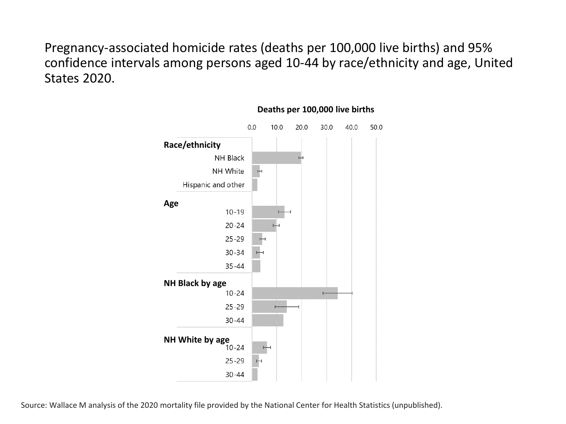Pregnancy-associated homicide rates (deaths per 100,000 live births) and 95% confidence intervals among persons aged 10-44 by race/ethnicity and age, United States 2020.



#### **Deaths per 100,000 live births**

Source: Wallace M analysis of the 2020 mortality file provided by the National Center for Health Statistics (unpublished).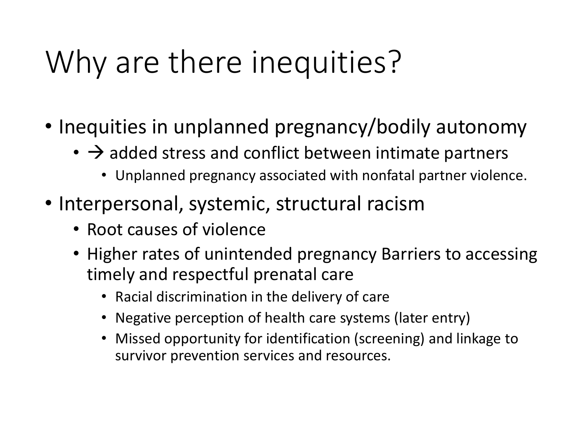## Why are there inequities?

- Inequities in unplanned pregnancy/bodily autonomy
	- $\cdot$   $\rightarrow$  added stress and conflict between intimate partners
		- Unplanned pregnancy associated with nonfatal partner violence.
- • Interpersonal, systemic, structural racism
	- Root causes of violence
	- Higher rates of unintended pregnancy Barriers to accessing timely and respectful prenatal care
		- Racial discrimination in the delivery of care
		- Negative perception of health care systems (later entry)
		- • Missed opportunity for identification (screening) and linkage to survivor prevention services and resources.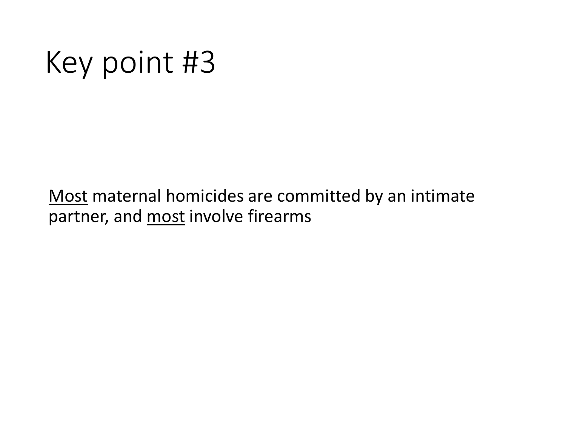## Key point #3

Most maternal homicides are committed by an intimate partner, and most involve firearms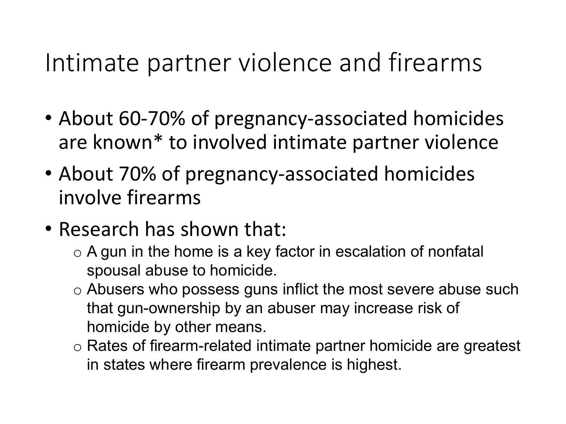#### Intimate partner violence and firearms

- are known\* to involved intimate partner violence • About 60-70% of pregnancy-associated homicides
- About 70% of pregnancy-associated homicides involve firearms
- Research has shown that:
	- $\circ$  A gun in the home is a key factor in escalation of nonfatal spousal abuse to homicide.
	- $\circ$  Abusers who possess guns inflict the most severe abuse such that gun-ownership by an abuser may increase risk of homicide by other means.
	- $\circ$  Rates of firearm-related intimate partner homicide are greatest in states where firearm prevalence is highest.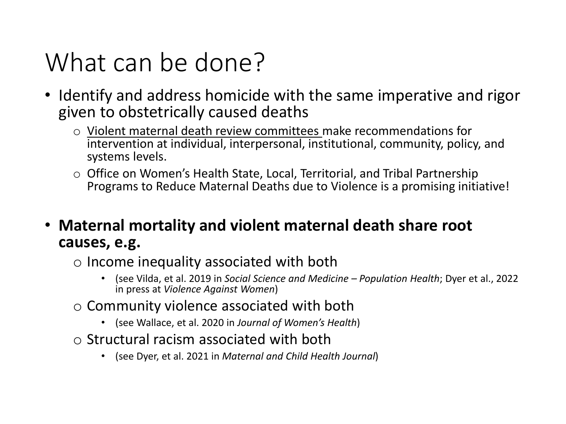#### What can be done?

- Identify and address homicide with the same imperative and rigor given to obstetrically caused deaths
	- o Violent maternal death review committees make recommendations for intervention at individual, interpersonal, institutional, community, policy, and systems levels.
	- Programs to Reduce Maternal Deaths due to Violence is a promising initiative! o Office on Women's Health State, Local, Territorial, and Tribal Partnership
- **Maternal mortality and violent maternal death share root causes, e.g.** 
	- o Income inequality associated with both
		- • (see Vilda, et al. 2019 in *Social Science and Medicine Population Health*; Dyer et al., 2022 in press at *Violence Against Women*)
	- o Community violence associated with both
		- (see Wallace, et al. 2020 in *Journal of Women's Health*)
	- $\circ$  Structural racism associated with both
		- (see Dyer, et al. 2021 in *Maternal and Child Health Journal*)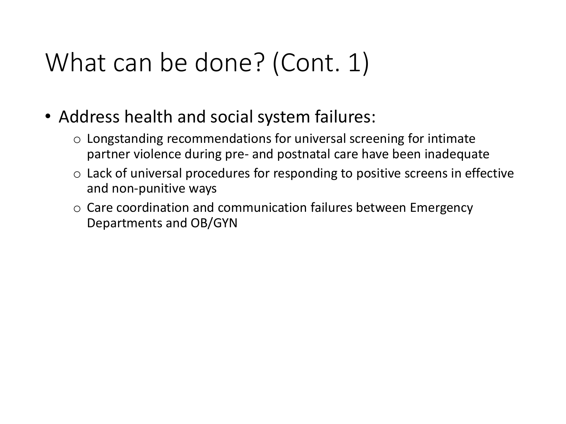#### What can be done? (Cont. 1)

- • Address health and social system failures:
	- $\circ$  Longstanding recommendations for universal screening for intimate partner violence during pre- and postnatal care have been inadequate
	- $\circ$  Lack of universal procedures for responding to positive screens in effective and non-punitive ways
	- o Care coordination and communication failures between Emergency Departments and OB/GYN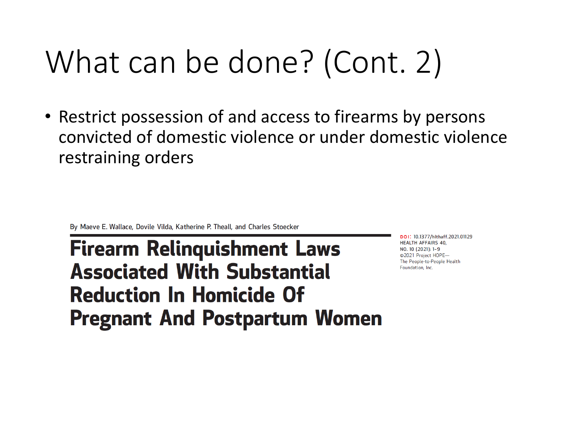# What can be done? (Cont. 2)

 • Restrict possession of and access to firearms by persons convicted of domestic violence or under domestic violence restraining orders

Maeve E. Wallace, Dovile Vilda, Katherine P. Theall, and Charles Stoecker

By Maeve E. Wallace, Dovile Vilda, Katherine P. Theall, and Charles Stoecker<br>
Pireal March Relinquichment Laws **Firearm Relinquishment Laws Associated With Substantial Reduction In Homicide Of Pregnant And Postpartum Women** 

HEALTH AFFAIRS 40, NO. 10 (2021 ): 1- 9 02021 Project HOPE-The People-to-People Health Foundation, Inc.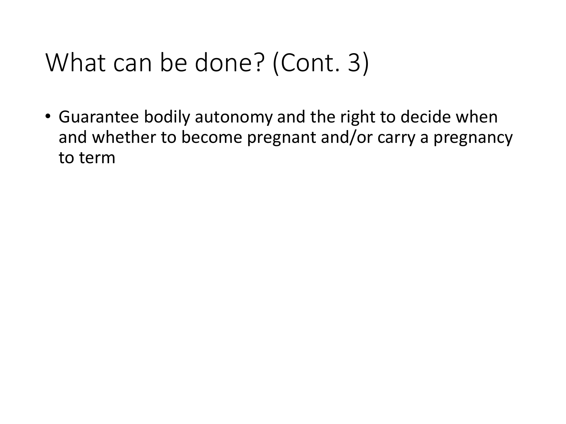#### What can be done? (Cont. 3)

 • Guarantee bodily autonomy and the right to decide when and whether to become pregnant and/or carry a pregnancy to term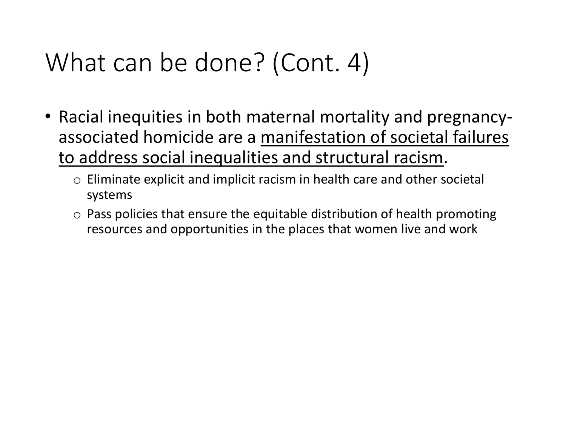#### What can be done? (Cont. 4)

- Racial inequities in both maternal mortality and pregnancyassociated homicide are a manifestation of societal failures to address social inequalities and structural racism.
	- o Eliminate explicit and implicit racism in health care and other societal systems
	- $\circ$  Pass policies that ensure the equitable distribution of health promoting resources and opportunities in the places that women live and work